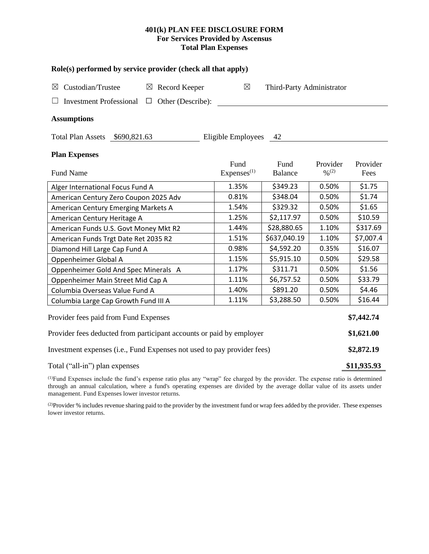## **401(k) PLAN FEE DISCLOSURE FORM For Services Provided by Ascensus Total Plan Expenses**

| Role(s) performed by service provider (check all that apply)            |                                |                           |                                          |                  |  |  |  |
|-------------------------------------------------------------------------|--------------------------------|---------------------------|------------------------------------------|------------------|--|--|--|
| Custodian/Trustee<br>$\boxtimes$ Record Keeper<br>$\boxtimes$           | ⊠                              | Third-Party Administrator |                                          |                  |  |  |  |
| Other (Describe):<br><b>Investment Professional</b><br>$\Box$           |                                |                           |                                          |                  |  |  |  |
| <b>Assumptions</b>                                                      |                                |                           |                                          |                  |  |  |  |
| Total Plan Assets \$690,821.63                                          | Eligible Employees             | 42                        |                                          |                  |  |  |  |
| <b>Plan Expenses</b>                                                    |                                |                           |                                          |                  |  |  |  |
| <b>Fund Name</b>                                                        | Fund<br>Express <sup>(1)</sup> | Fund<br><b>Balance</b>    | Provider<br>$\frac{0}{2}$ <sup>(2)</sup> | Provider<br>Fees |  |  |  |
| Alger International Focus Fund A                                        | 1.35%                          | \$349.23                  | 0.50%                                    | \$1.75           |  |  |  |
| American Century Zero Coupon 2025 Adv                                   | 0.81%                          | \$348.04                  | 0.50%                                    | \$1.74           |  |  |  |
| American Century Emerging Markets A                                     | 1.54%                          | \$329.32                  | 0.50%                                    | \$1.65           |  |  |  |
| American Century Heritage A                                             | 1.25%                          | \$2,117.97                | 0.50%                                    | \$10.59          |  |  |  |
| American Funds U.S. Govt Money Mkt R2                                   | 1.44%                          | \$28,880.65               | 1.10%                                    | \$317.69         |  |  |  |
| American Funds Trgt Date Ret 2035 R2                                    | 1.51%                          | \$637,040.19              | 1.10%                                    | \$7,007.4        |  |  |  |
| Diamond Hill Large Cap Fund A                                           | 0.98%                          | \$4,592.20                | 0.35%                                    | \$16.07          |  |  |  |
| Oppenheimer Global A                                                    | 1.15%                          | \$5,915.10                | 0.50%                                    | \$29.58          |  |  |  |
| Oppenheimer Gold And Spec Minerals A                                    | 1.17%                          | \$311.71                  | 0.50%                                    | \$1.56           |  |  |  |
| Oppenheimer Main Street Mid Cap A                                       | 1.11%                          | \$6,757.52                | 0.50%                                    | \$33.79          |  |  |  |
| Columbia Overseas Value Fund A                                          | 1.40%                          | \$891.20                  | 0.50%                                    | \$4.46           |  |  |  |
| Columbia Large Cap Growth Fund III A                                    | 1.11%                          | \$3,288.50                | 0.50%                                    | \$16.44          |  |  |  |
| Provider fees paid from Fund Expenses                                   |                                |                           |                                          | \$7,442.74       |  |  |  |
| Provider fees deducted from participant accounts or paid by employer    |                                |                           |                                          |                  |  |  |  |
| Investment expenses (i.e., Fund Expenses not used to pay provider fees) |                                |                           |                                          |                  |  |  |  |
| Total ("all-in") plan expenses                                          |                                |                           |                                          | \$11,935.93      |  |  |  |

(1)Fund Expenses include the fund's expense ratio plus any "wrap" fee charged by the provider. The expense ratio is determined through an annual calculation, where a fund's operating expenses are divided by the average dollar value of its assets under management. Fund Expenses lower investor returns.

<sup>(2)</sup>Provider % includes revenue sharing paid to the provider by the investment fund or wrap fees added by the provider. These expenses lower investor returns.